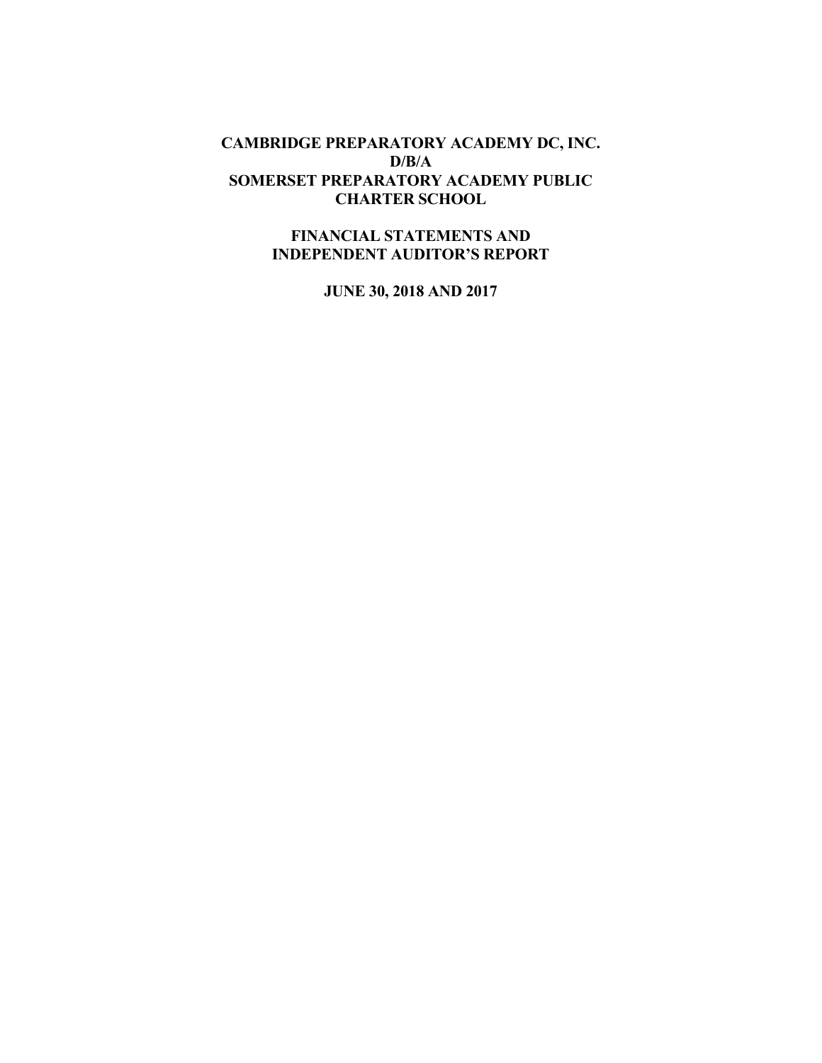# **CAMBRIDGE PREPARATORY ACADEMY DC, INC. D/B/A SOMERSET PREPARATORY ACADEMY PUBLIC CHARTER SCHOOL**

### **FINANCIAL STATEMENTS AND INDEPENDENT AUDITOR'S REPORT**

**JUNE 30, 2018 AND 2017**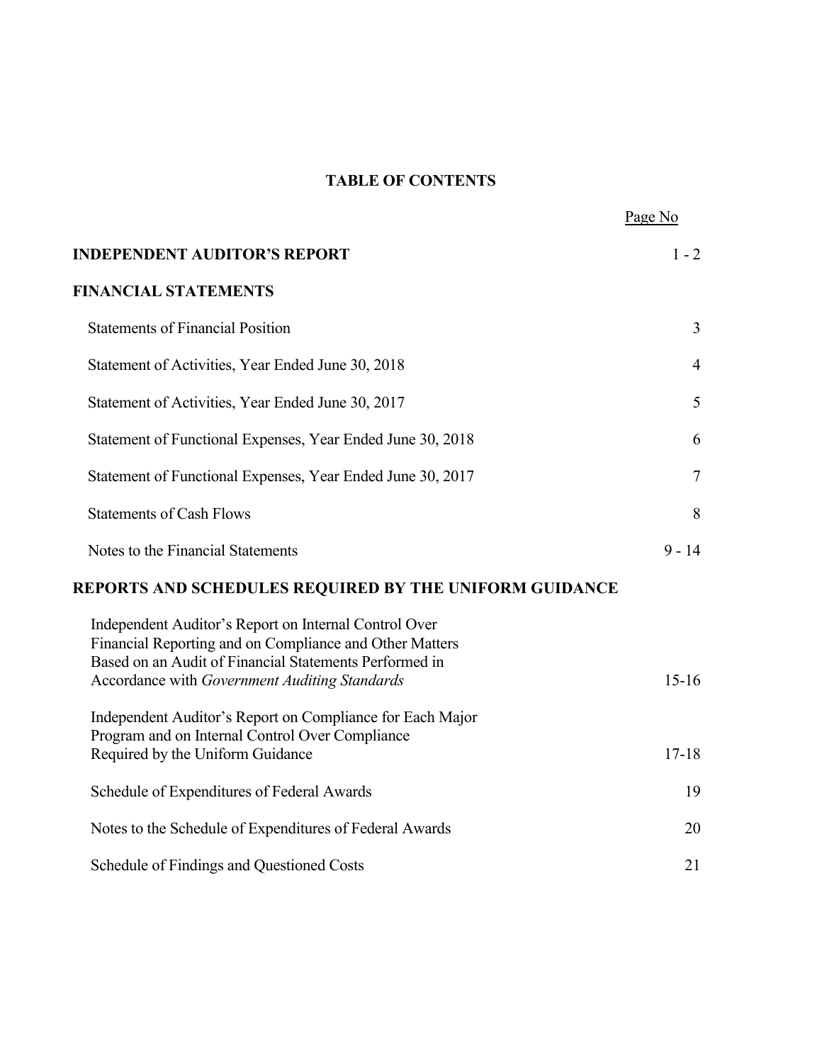# **TABLE OF CONTENTS**

Page No

| <b>INDEPENDENT AUDITOR'S REPORT</b>                                                                                                                                                                                         | $1 - 2$        |
|-----------------------------------------------------------------------------------------------------------------------------------------------------------------------------------------------------------------------------|----------------|
| <b>FINANCIAL STATEMENTS</b>                                                                                                                                                                                                 |                |
| <b>Statements of Financial Position</b>                                                                                                                                                                                     | 3              |
| Statement of Activities, Year Ended June 30, 2018                                                                                                                                                                           | $\overline{4}$ |
| Statement of Activities, Year Ended June 30, 2017                                                                                                                                                                           | 5              |
| Statement of Functional Expenses, Year Ended June 30, 2018                                                                                                                                                                  | 6              |
| Statement of Functional Expenses, Year Ended June 30, 2017                                                                                                                                                                  | $\tau$         |
| <b>Statements of Cash Flows</b>                                                                                                                                                                                             | 8              |
| Notes to the Financial Statements                                                                                                                                                                                           | $9 - 14$       |
| REPORTS AND SCHEDULES REQUIRED BY THE UNIFORM GUIDANCE                                                                                                                                                                      |                |
| Independent Auditor's Report on Internal Control Over<br>Financial Reporting and on Compliance and Other Matters<br>Based on an Audit of Financial Statements Performed in<br>Accordance with Government Auditing Standards | $15-16$        |
| Independent Auditor's Report on Compliance for Each Major<br>Program and on Internal Control Over Compliance<br>Required by the Uniform Guidance                                                                            | $17 - 18$      |
| Schedule of Expenditures of Federal Awards                                                                                                                                                                                  | 19             |
| Notes to the Schedule of Expenditures of Federal Awards                                                                                                                                                                     | 20             |
| Schedule of Findings and Questioned Costs                                                                                                                                                                                   | 21             |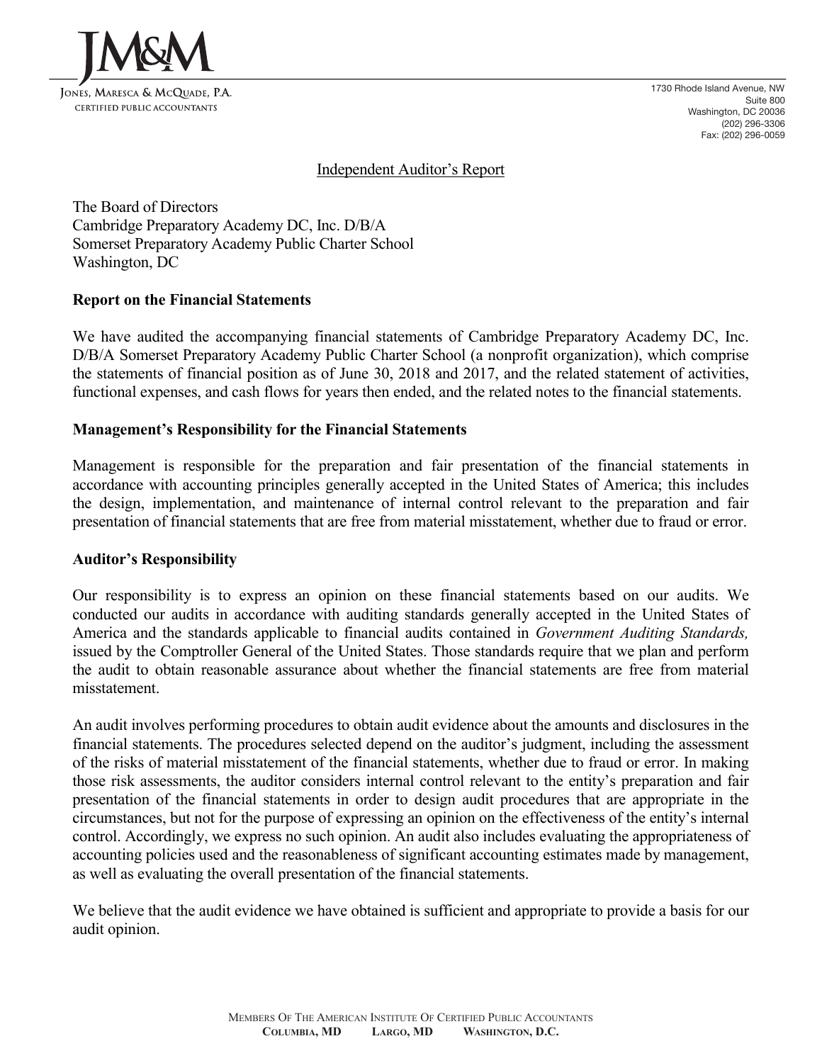

1730 Rhode Island Avenue, NW Suite 800 Washington, DC 20036 (202) 296-3306 Fax: (202) 296-0059

#### Independent Auditor's Report

The Board of Directors Cambridge Preparatory Academy DC, Inc. D/B/A Somerset Preparatory Academy Public Charter School Washington, DC

### **Report on the Financial Statements**

We have audited the accompanying financial statements of Cambridge Preparatory Academy DC, Inc. D/B/A Somerset Preparatory Academy Public Charter School (a nonprofit organization), which comprise the statements of financial position as of June 30, 2018 and 2017, and the related statement of activities, functional expenses, and cash flows for years then ended, and the related notes to the financial statements.

#### **Management's Responsibility for the Financial Statements**

Management is responsible for the preparation and fair presentation of the financial statements in accordance with accounting principles generally accepted in the United States of America; this includes the design, implementation, and maintenance of internal control relevant to the preparation and fair presentation of financial statements that are free from material misstatement, whether due to fraud or error.

#### **Auditor's Responsibility**

Our responsibility is to express an opinion on these financial statements based on our audits. We conducted our audits in accordance with auditing standards generally accepted in the United States of America and the standards applicable to financial audits contained in *Government Auditing Standards,* issued by the Comptroller General of the United States. Those standards require that we plan and perform the audit to obtain reasonable assurance about whether the financial statements are free from material misstatement.

An audit involves performing procedures to obtain audit evidence about the amounts and disclosures in the financial statements. The procedures selected depend on the auditor's judgment, including the assessment of the risks of material misstatement of the financial statements, whether due to fraud or error. In making those risk assessments, the auditor considers internal control relevant to the entity's preparation and fair presentation of the financial statements in order to design audit procedures that are appropriate in the circumstances, but not for the purpose of expressing an opinion on the effectiveness of the entity's internal control. Accordingly, we express no such opinion. An audit also includes evaluating the appropriateness of accounting policies used and the reasonableness of significant accounting estimates made by management, as well as evaluating the overall presentation of the financial statements.

We believe that the audit evidence we have obtained is sufficient and appropriate to provide a basis for our audit opinion.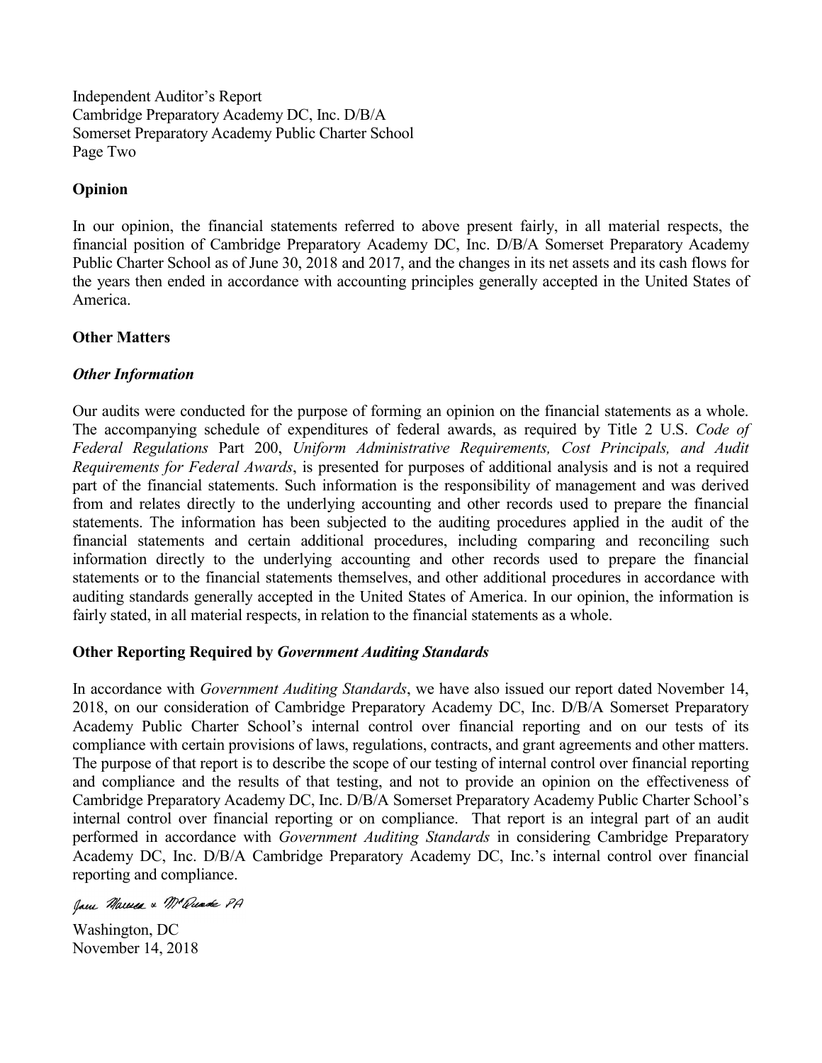Independent Auditor's Report Cambridge Preparatory Academy DC, Inc. D/B/A Somerset Preparatory Academy Public Charter School Page Two

# **Opinion**

In our opinion, the financial statements referred to above present fairly, in all material respects, the financial position of Cambridge Preparatory Academy DC, Inc. D/B/A Somerset Preparatory Academy Public Charter School as of June 30, 2018 and 2017, and the changes in its net assets and its cash flows for the years then ended in accordance with accounting principles generally accepted in the United States of America.

# **Other Matters**

# *Other Information*

Our audits were conducted for the purpose of forming an opinion on the financial statements as a whole. The accompanying schedule of expenditures of federal awards, as required by Title 2 U.S. *Code of Federal Regulations* Part 200, *Uniform Administrative Requirements, Cost Principals, and Audit Requirements for Federal Awards*, is presented for purposes of additional analysis and is not a required part of the financial statements. Such information is the responsibility of management and was derived from and relates directly to the underlying accounting and other records used to prepare the financial statements. The information has been subjected to the auditing procedures applied in the audit of the financial statements and certain additional procedures, including comparing and reconciling such information directly to the underlying accounting and other records used to prepare the financial statements or to the financial statements themselves, and other additional procedures in accordance with auditing standards generally accepted in the United States of America. In our opinion, the information is fairly stated, in all material respects, in relation to the financial statements as a whole.

# **Other Reporting Required by** *Government Auditing Standards*

In accordance with *Government Auditing Standards*, we have also issued our report dated November 14, 2018, on our consideration of Cambridge Preparatory Academy DC, Inc. D/B/A Somerset Preparatory Academy Public Charter School's internal control over financial reporting and on our tests of its compliance with certain provisions of laws, regulations, contracts, and grant agreements and other matters. The purpose of that report is to describe the scope of our testing of internal control over financial reporting and compliance and the results of that testing, and not to provide an opinion on the effectiveness of Cambridge Preparatory Academy DC, Inc. D/B/A Somerset Preparatory Academy Public Charter School's internal control over financial reporting or on compliance. That report is an integral part of an audit performed in accordance with *Government Auditing Standards* in considering Cambridge Preparatory Academy DC, Inc. D/B/A Cambridge Preparatory Academy DC, Inc.'s internal control over financial reporting and compliance.

Jam Marica & Mc Quada PA

Washington, DC November 14, 2018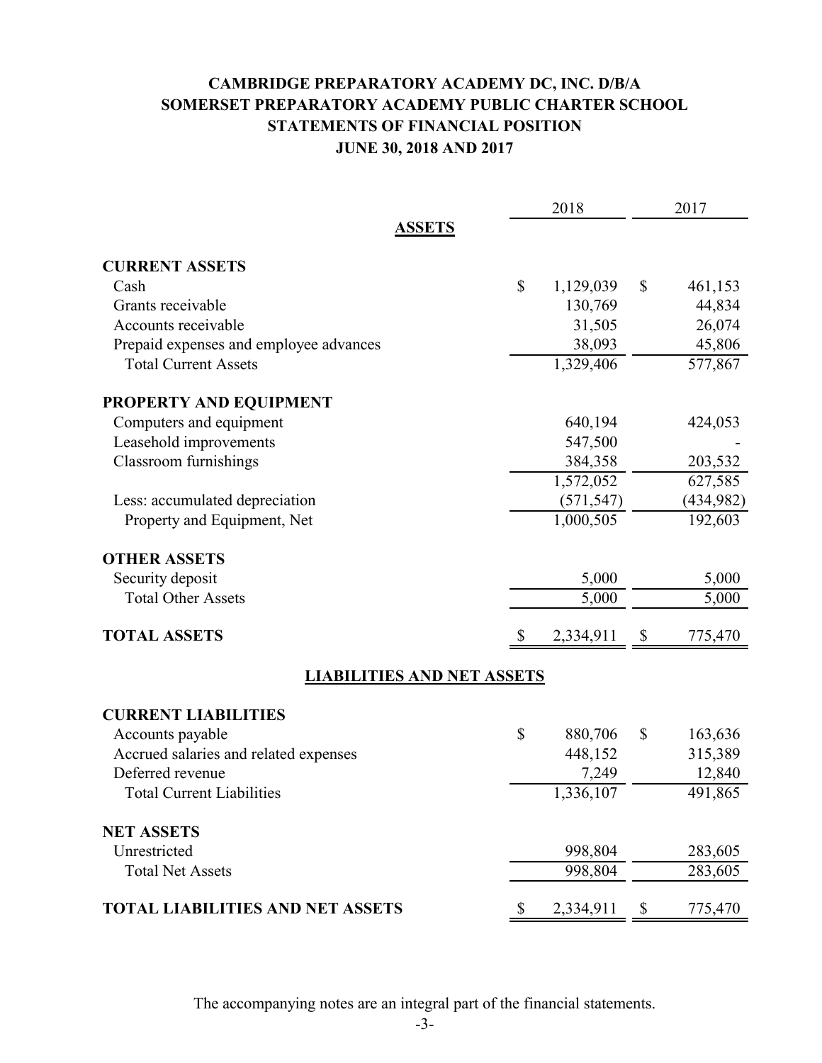# **CAMBRIDGE PREPARATORY ACADEMY DC, INC. D/B/A STATEMENTS OF FINANCIAL POSITION JUNE 30, 2018 AND 2017 SOMERSET PREPARATORY ACADEMY PUBLIC CHARTER SCHOOL**

|                                         | 2018                   |              | 2017       |
|-----------------------------------------|------------------------|--------------|------------|
| <b>ASSETS</b>                           |                        |              |            |
| <b>CURRENT ASSETS</b>                   |                        |              |            |
| Cash                                    | \$<br>1,129,039        | \$           | 461,153    |
| Grants receivable                       | 130,769                |              | 44,834     |
| Accounts receivable                     | 31,505                 |              | 26,074     |
| Prepaid expenses and employee advances  | 38,093                 |              | 45,806     |
| <b>Total Current Assets</b>             | 1,329,406              |              | 577,867    |
| PROPERTY AND EQUIPMENT                  |                        |              |            |
| Computers and equipment                 | 640,194                |              | 424,053    |
| Leasehold improvements                  | 547,500                |              |            |
| Classroom furnishings                   | 384,358                |              | 203,532    |
|                                         | 1,572,052              |              | 627,585    |
| Less: accumulated depreciation          | (571, 547)             |              | (434, 982) |
| Property and Equipment, Net             | 1,000,505              |              | 192,603    |
| <b>OTHER ASSETS</b>                     |                        |              |            |
| Security deposit                        | 5,000                  |              | 5,000      |
| <b>Total Other Assets</b>               | 5,000                  |              | 5,000      |
| <b>TOTAL ASSETS</b>                     | \$<br>2,334,911        | \$           | 775,470    |
| <b>LIABILITIES AND NET ASSETS</b>       |                        |              |            |
| <b>CURRENT LIABILITIES</b>              |                        |              |            |
| Accounts payable                        | \$<br>880,706          | $\mathbb{S}$ | 163,636    |
| Accrued salaries and related expenses   | 448,152                |              | 315,389    |
| Deferred revenue                        | 7,249                  |              | 12,840     |
| <b>Total Current Liabilities</b>        | $\overline{1,}336,107$ |              | 491,865    |
| <b>NET ASSETS</b>                       |                        |              |            |
| Unrestricted                            | 998,804                |              | 283,605    |
| <b>Total Net Assets</b>                 | 998,804                |              | 283,605    |
| <b>TOTAL LIABILITIES AND NET ASSETS</b> | \$<br>2,334,911        | \$           | 775,470    |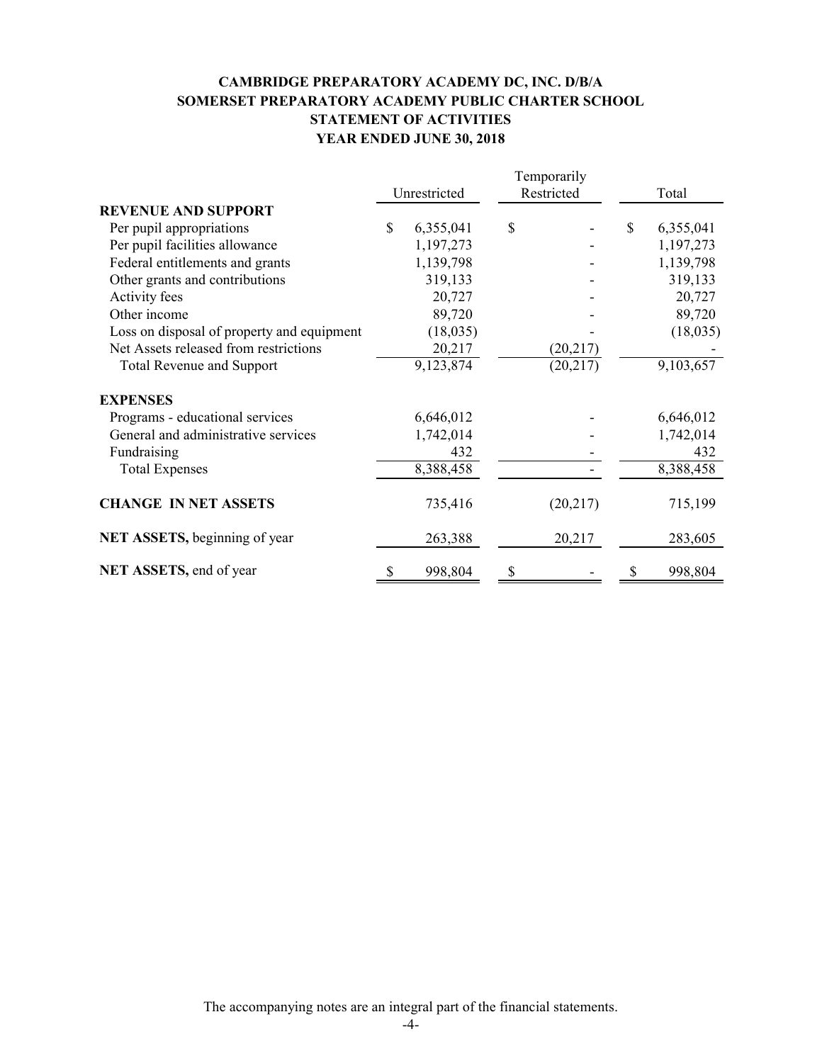# **CAMBRIDGE PREPARATORY ACADEMY DC, INC. D/B/A SOMERSET PREPARATORY ACADEMY PUBLIC CHARTER SCHOOL STATEMENT OF ACTIVITIES YEAR ENDED JUNE 30, 2018**

|                                            | Temporarily |              |    |            |              |           |
|--------------------------------------------|-------------|--------------|----|------------|--------------|-----------|
|                                            |             | Unrestricted |    | Restricted |              | Total     |
| <b>REVENUE AND SUPPORT</b>                 |             |              |    |            |              |           |
| Per pupil appropriations                   | \$          | 6,355,041    | \$ |            | $\mathbb{S}$ | 6,355,041 |
| Per pupil facilities allowance             |             | 1,197,273    |    |            |              | 1,197,273 |
| Federal entitlements and grants            |             | 1,139,798    |    |            |              | 1,139,798 |
| Other grants and contributions             |             | 319,133      |    |            |              | 319,133   |
| Activity fees                              |             | 20,727       |    |            |              | 20,727    |
| Other income                               |             | 89,720       |    |            |              | 89,720    |
| Loss on disposal of property and equipment |             | (18, 035)    |    |            |              | (18,035)  |
| Net Assets released from restrictions      |             | 20,217       |    | (20,217)   |              |           |
| <b>Total Revenue and Support</b>           |             | 9,123,874    |    | (20, 217)  |              | 9,103,657 |
| <b>EXPENSES</b>                            |             |              |    |            |              |           |
| Programs - educational services            |             | 6,646,012    |    |            |              | 6,646,012 |
| General and administrative services        |             | 1,742,014    |    |            |              | 1,742,014 |
| Fundraising                                |             | 432          |    |            |              | 432       |
| <b>Total Expenses</b>                      |             | 8,388,458    |    |            |              | 8,388,458 |
| <b>CHANGE IN NET ASSETS</b>                |             | 735,416      |    | (20, 217)  |              | 715,199   |
| NET ASSETS, beginning of year              |             | 263,388      |    | 20,217     |              | 283,605   |
| NET ASSETS, end of year                    | S           | 998,804      | \$ |            | S            | 998,804   |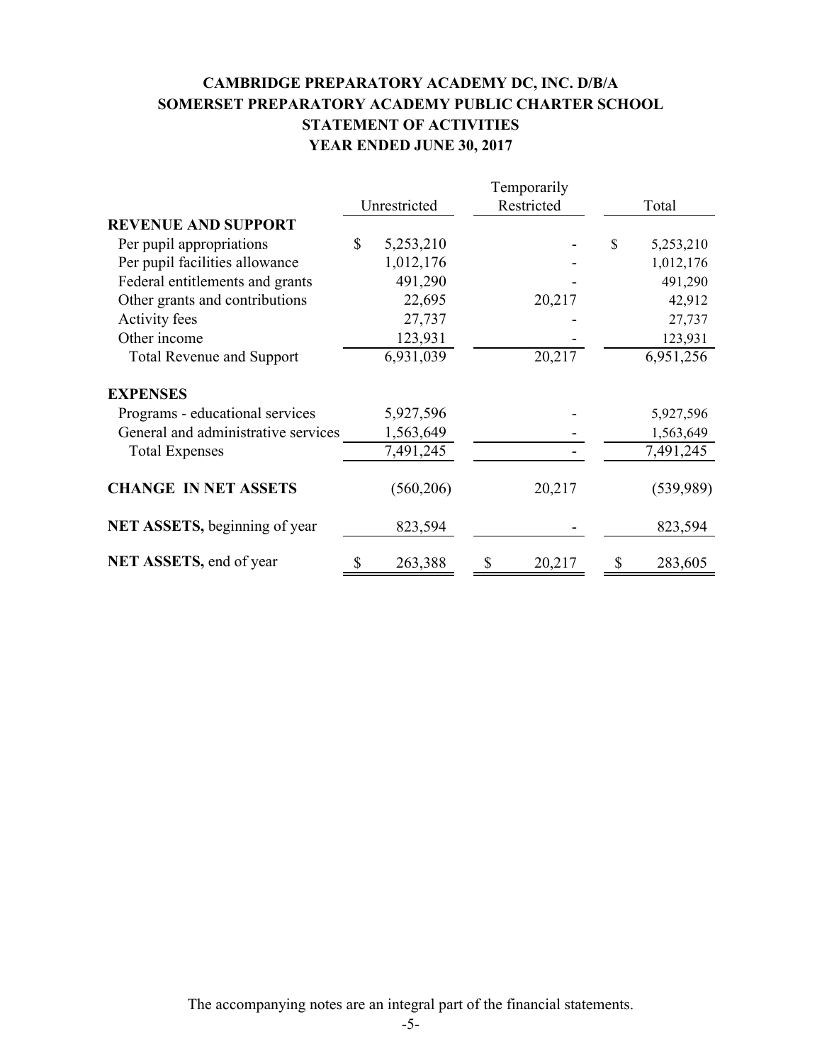# **CAMBRIDGE PREPARATORY ACADEMY DC, INC. D/B/A SOMERSET PREPARATORY ACADEMY PUBLIC CHARTER SCHOOL STATEMENT OF ACTIVITIES YEAR ENDED JUNE 30, 2017**

|                                      | Unrestricted |                        |  |        |                 |  |  |  | Temporarily<br>Restricted |  | Total |  |
|--------------------------------------|--------------|------------------------|--|--------|-----------------|--|--|--|---------------------------|--|-------|--|
| <b>REVENUE AND SUPPORT</b>           |              |                        |  |        |                 |  |  |  |                           |  |       |  |
| Per pupil appropriations             | \$           | 5,253,210              |  |        | \$<br>5,253,210 |  |  |  |                           |  |       |  |
| Per pupil facilities allowance       |              | 1,012,176              |  |        | 1,012,176       |  |  |  |                           |  |       |  |
| Federal entitlements and grants      |              | 491,290                |  |        | 491,290         |  |  |  |                           |  |       |  |
| Other grants and contributions       |              | 22,695                 |  | 20,217 | 42,912          |  |  |  |                           |  |       |  |
| <b>Activity fees</b>                 |              | 27,737                 |  |        | 27,737          |  |  |  |                           |  |       |  |
| Other income                         |              | 123,931                |  |        | 123,931         |  |  |  |                           |  |       |  |
| <b>Total Revenue and Support</b>     |              | 6,931,039              |  | 20,217 | 6,951,256       |  |  |  |                           |  |       |  |
| <b>EXPENSES</b>                      |              |                        |  |        |                 |  |  |  |                           |  |       |  |
| Programs - educational services      |              | 5,927,596              |  |        | 5,927,596       |  |  |  |                           |  |       |  |
| General and administrative services  |              | 1,563,649              |  |        | 1,563,649       |  |  |  |                           |  |       |  |
| <b>Total Expenses</b>                |              | $\overline{7},491,245$ |  |        | 7,491,245       |  |  |  |                           |  |       |  |
| <b>CHANGE IN NET ASSETS</b>          |              | (560, 206)             |  | 20,217 | (539,989)       |  |  |  |                           |  |       |  |
| <b>NET ASSETS, beginning of year</b> |              | 823,594                |  |        | 823,594         |  |  |  |                           |  |       |  |
| NET ASSETS, end of year              |              | 263,388                |  | 20,217 | 283,605         |  |  |  |                           |  |       |  |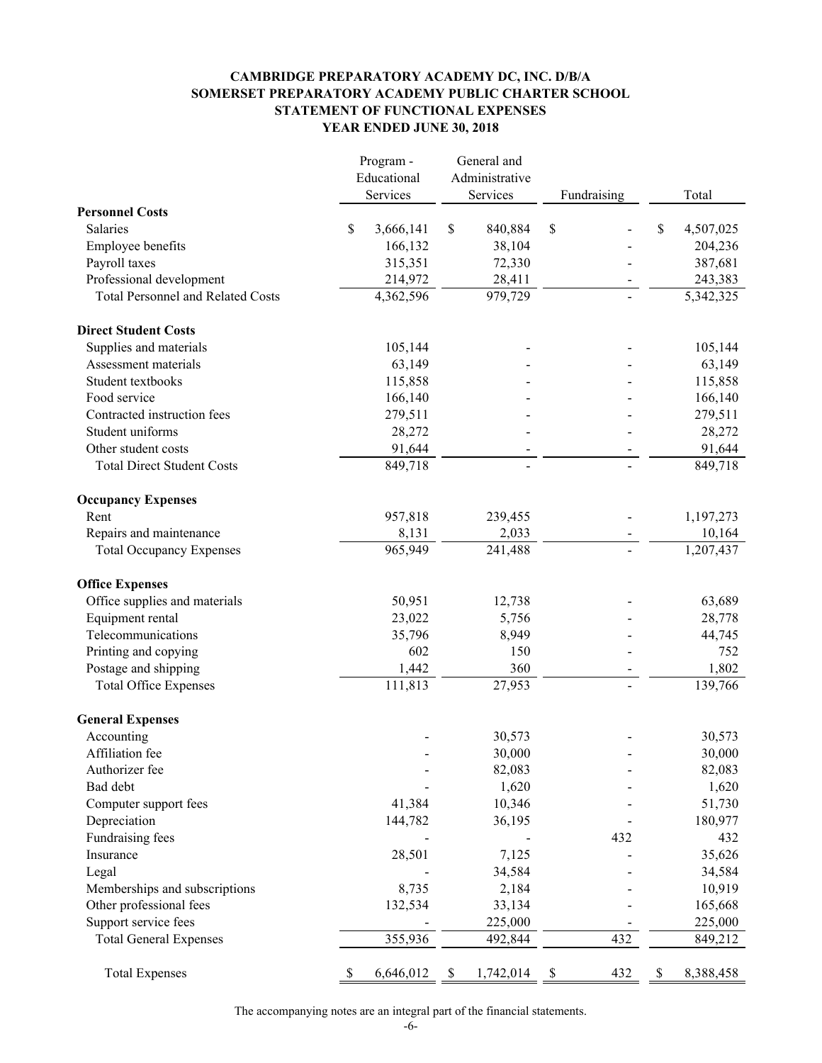#### **SOMERSET PREPARATORY ACADEMY PUBLIC CHARTER SCHOOL STATEMENT OF FUNCTIONAL EXPENSES YEAR ENDED JUNE 30, 2018 CAMBRIDGE PREPARATORY ACADEMY DC, INC. D/B/A**

|                                          | Program -       | General and    |           |    |             |      |           |
|------------------------------------------|-----------------|----------------|-----------|----|-------------|------|-----------|
|                                          | Educational     | Administrative |           |    |             |      |           |
|                                          | Services        |                | Services  |    | Fundraising |      | Total     |
| <b>Personnel Costs</b>                   |                 |                |           |    |             |      |           |
| Salaries                                 | \$<br>3,666,141 | \$             | 840,884   | \$ |             | \$   | 4,507,025 |
| Employee benefits                        | 166,132         |                | 38,104    |    |             |      | 204,236   |
| Payroll taxes                            | 315,351         |                | 72,330    |    |             |      | 387,681   |
| Professional development                 | 214,972         |                | 28,411    |    |             |      | 243,383   |
| <b>Total Personnel and Related Costs</b> | 4,362,596       |                | 979,729   |    |             |      | 5,342,325 |
| <b>Direct Student Costs</b>              |                 |                |           |    |             |      |           |
| Supplies and materials                   | 105,144         |                |           |    |             |      | 105,144   |
| Assessment materials                     | 63,149          |                |           |    |             |      | 63,149    |
| Student textbooks                        | 115,858         |                |           |    |             |      | 115,858   |
| Food service                             | 166,140         |                |           |    |             |      | 166,140   |
| Contracted instruction fees              | 279,511         |                |           |    |             |      | 279,511   |
| Student uniforms                         | 28,272          |                |           |    |             |      | 28,272    |
| Other student costs                      | 91,644          |                |           |    |             |      | 91,644    |
| <b>Total Direct Student Costs</b>        | 849,718         |                |           |    |             |      | 849,718   |
| <b>Occupancy Expenses</b>                |                 |                |           |    |             |      |           |
| Rent                                     | 957,818         |                | 239,455   |    |             |      | 1,197,273 |
| Repairs and maintenance                  | 8,131           |                | 2,033     |    |             |      | 10,164    |
| <b>Total Occupancy Expenses</b>          | 965,949         |                | 241,488   |    |             |      | 1,207,437 |
| <b>Office Expenses</b>                   |                 |                |           |    |             |      |           |
| Office supplies and materials            | 50,951          |                | 12,738    |    |             |      | 63,689    |
| Equipment rental                         | 23,022          |                | 5,756     |    |             |      | 28,778    |
| Telecommunications                       | 35,796          |                | 8,949     |    |             |      | 44,745    |
| Printing and copying                     | 602             |                | 150       |    |             |      | 752       |
| Postage and shipping                     | 1,442           |                | 360       |    |             |      | 1,802     |
| <b>Total Office Expenses</b>             | 111,813         | 27,953         |           |    |             |      | 139,766   |
| <b>General Expenses</b>                  |                 |                |           |    |             |      |           |
| Accounting                               |                 |                | 30,573    |    |             |      | 30,573    |
| Affiliation fee                          |                 |                | 30,000    |    |             |      | 30,000    |
| Authorizer fee                           |                 |                | 82,083    |    |             |      | 82,083    |
| Bad debt                                 |                 |                | 1,620     |    |             |      | 1,620     |
| Computer support fees                    | 41,384          |                | 10,346    |    |             |      | 51,730    |
| Depreciation                             | 144,782         |                | 36,195    |    |             |      | 180,977   |
| Fundraising fees                         |                 |                |           |    | 432         |      | 432       |
| Insurance                                | 28,501          |                | 7,125     |    |             |      | 35,626    |
| Legal                                    |                 |                | 34,584    |    |             |      | 34,584    |
| Memberships and subscriptions            | 8,735           |                | 2,184     |    |             |      | 10,919    |
| Other professional fees                  | 132,534         |                | 33,134    |    |             |      | 165,668   |
| Support service fees                     |                 |                | 225,000   |    |             |      | 225,000   |
| <b>Total General Expenses</b>            | 355,936         |                | 492,844   |    | 432         |      | 849,212   |
| <b>Total Expenses</b>                    | \$<br>6,646,012 | \$             | 1,742,014 | \$ | 432         | $\$$ | 8,388,458 |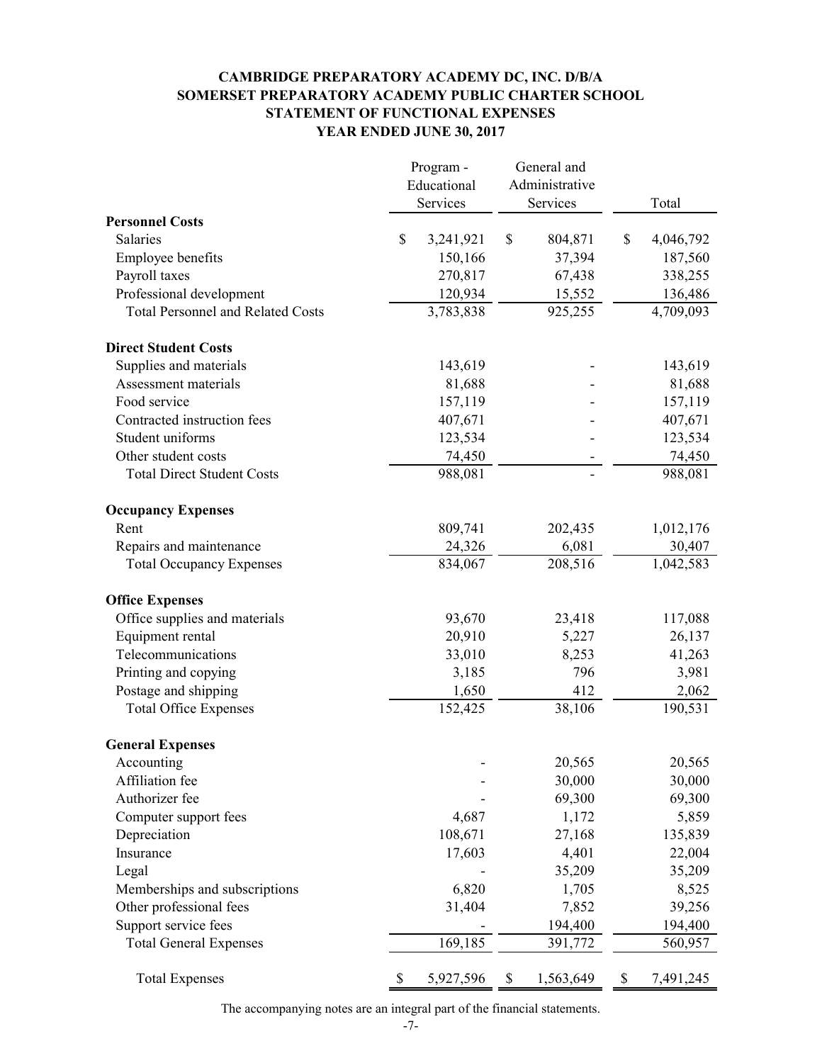### **CAMBRIDGE PREPARATORY ACADEMY DC, INC. D/B/A SOMERSET PREPARATORY ACADEMY PUBLIC CHARTER SCHOOL STATEMENT OF FUNCTIONAL EXPENSES YEAR ENDED JUNE 30, 2017**

|                                          | Program -<br>Educational<br>Services |           | General and<br>Administrative<br>Services |    | Total     |  |
|------------------------------------------|--------------------------------------|-----------|-------------------------------------------|----|-----------|--|
| <b>Personnel Costs</b>                   |                                      |           |                                           |    |           |  |
| Salaries                                 | \$                                   | 3,241,921 | \$<br>804,871                             | \$ | 4,046,792 |  |
| Employee benefits                        |                                      | 150,166   | 37,394                                    |    | 187,560   |  |
| Payroll taxes                            |                                      | 270,817   | 67,438                                    |    | 338,255   |  |
| Professional development                 |                                      | 120,934   | 15,552                                    |    | 136,486   |  |
| <b>Total Personnel and Related Costs</b> |                                      | 3,783,838 | 925,255                                   |    | 4,709,093 |  |
| <b>Direct Student Costs</b>              |                                      |           |                                           |    |           |  |
| Supplies and materials                   |                                      | 143,619   |                                           |    | 143,619   |  |
| Assessment materials                     |                                      | 81,688    |                                           |    | 81,688    |  |
| Food service                             |                                      | 157,119   |                                           |    | 157,119   |  |
| Contracted instruction fees              |                                      | 407,671   |                                           |    | 407,671   |  |
| Student uniforms                         |                                      | 123,534   |                                           |    | 123,534   |  |
| Other student costs                      |                                      | 74,450    |                                           |    | 74,450    |  |
| <b>Total Direct Student Costs</b>        |                                      | 988,081   |                                           |    | 988,081   |  |
| <b>Occupancy Expenses</b>                |                                      |           |                                           |    |           |  |
| Rent                                     |                                      | 809,741   | 202,435                                   |    | 1,012,176 |  |
| Repairs and maintenance                  |                                      | 24,326    | 6,081                                     |    | 30,407    |  |
| <b>Total Occupancy Expenses</b>          |                                      | 834,067   | 208,516                                   |    | 1,042,583 |  |
| <b>Office Expenses</b>                   |                                      |           |                                           |    |           |  |
| Office supplies and materials            |                                      | 93,670    | 23,418                                    |    | 117,088   |  |
| Equipment rental                         |                                      | 20,910    | 5,227                                     |    | 26,137    |  |
| Telecommunications                       |                                      | 33,010    | 8,253                                     |    | 41,263    |  |
| Printing and copying                     |                                      | 3,185     | 796                                       |    | 3,981     |  |
| Postage and shipping                     |                                      | 1,650     | 412                                       |    | 2,062     |  |
| <b>Total Office Expenses</b>             |                                      | 152,425   | 38,106                                    |    | 190,531   |  |
| <b>General Expenses</b>                  |                                      |           |                                           |    |           |  |
| Accounting                               |                                      |           | 20,565                                    |    | 20,565    |  |
| Affiliation fee                          |                                      |           | 30,000                                    |    | 30,000    |  |
| Authorizer fee                           |                                      |           | 69,300                                    |    | 69,300    |  |
| Computer support fees                    |                                      | 4,687     | 1,172                                     |    | 5,859     |  |
| Depreciation                             |                                      | 108,671   | 27,168                                    |    | 135,839   |  |
| Insurance                                |                                      | 17,603    | 4,401                                     |    | 22,004    |  |
| Legal                                    |                                      |           | 35,209                                    |    | 35,209    |  |
| Memberships and subscriptions            |                                      | 6,820     | 1,705                                     |    | 8,525     |  |
| Other professional fees                  |                                      | 31,404    | 7,852                                     |    | 39,256    |  |
| Support service fees                     |                                      |           | 194,400                                   |    | 194,400   |  |
| <b>Total General Expenses</b>            |                                      | 169,185   | 391,772                                   |    | 560,957   |  |
| <b>Total Expenses</b>                    | \$                                   | 5,927,596 | \$<br>1,563,649                           | \$ | 7,491,245 |  |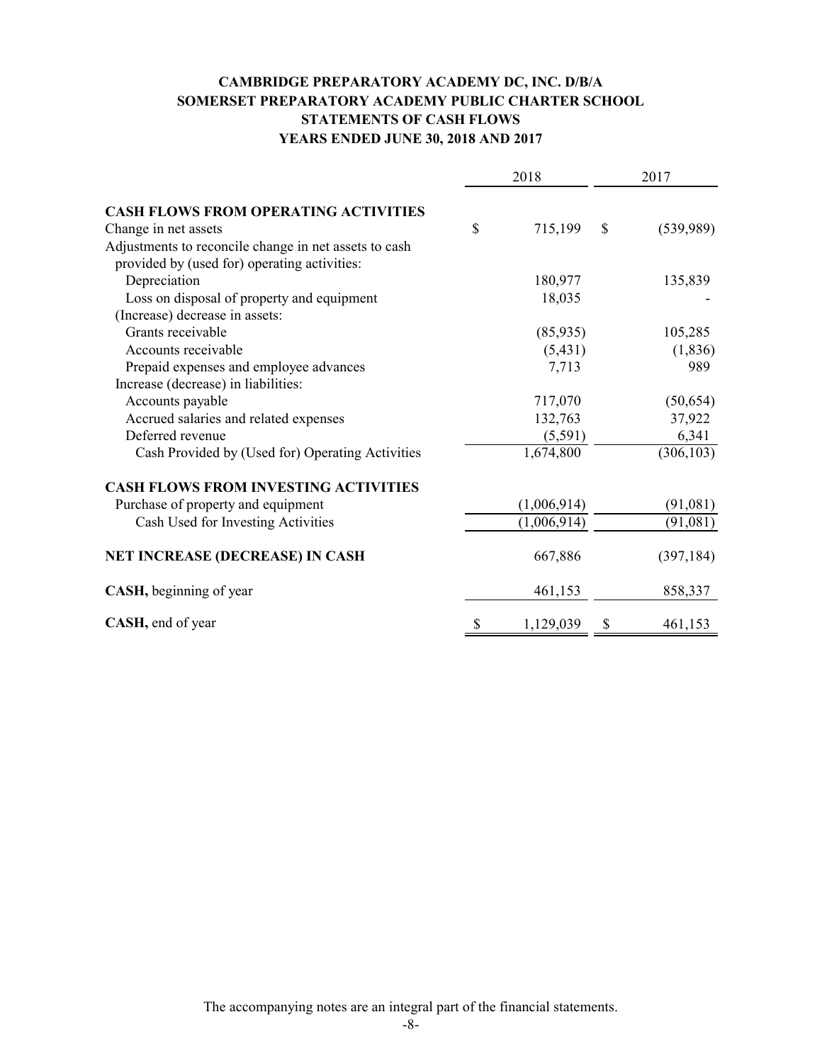# **SOMERSET PREPARATORY ACADEMY PUBLIC CHARTER SCHOOL STATEMENTS OF CASH FLOWS YEARS ENDED JUNE 30, 2018 AND 2017 CAMBRIDGE PREPARATORY ACADEMY DC, INC. D/B/A**

|                                                       | 2018            | 2017    |            |  |
|-------------------------------------------------------|-----------------|---------|------------|--|
| <b>CASH FLOWS FROM OPERATING ACTIVITIES</b>           |                 |         |            |  |
| Change in net assets                                  | \$<br>715,199   | \$      | (539,989)  |  |
| Adjustments to reconcile change in net assets to cash |                 |         |            |  |
| provided by (used for) operating activities:          |                 |         |            |  |
| Depreciation                                          | 180,977         | 135,839 |            |  |
| Loss on disposal of property and equipment            | 18,035          |         |            |  |
| (Increase) decrease in assets:                        |                 |         |            |  |
| Grants receivable                                     | (85,935)        | 105,285 |            |  |
| Accounts receivable                                   | (5, 431)        |         | (1, 836)   |  |
| Prepaid expenses and employee advances                | 7,713           |         | 989        |  |
| Increase (decrease) in liabilities:                   |                 |         |            |  |
| Accounts payable                                      | 717,070         |         | (50, 654)  |  |
| Accrued salaries and related expenses                 | 132,763         |         | 37,922     |  |
| Deferred revenue                                      | (5,591)         |         | 6,341      |  |
| Cash Provided by (Used for) Operating Activities      | 1,674,800       |         | (306, 103) |  |
| <b>CASH FLOWS FROM INVESTING ACTIVITIES</b>           |                 |         |            |  |
| Purchase of property and equipment                    | (1,006,914)     |         | (91,081)   |  |
| Cash Used for Investing Activities                    | (1,006,914)     |         | (91,081)   |  |
| <b>NET INCREASE (DECREASE) IN CASH</b>                | 667,886         |         | (397, 184) |  |
| CASH, beginning of year                               | 461,153         |         | 858,337    |  |
| CASH, end of year                                     | \$<br>1,129,039 |         | 461,153    |  |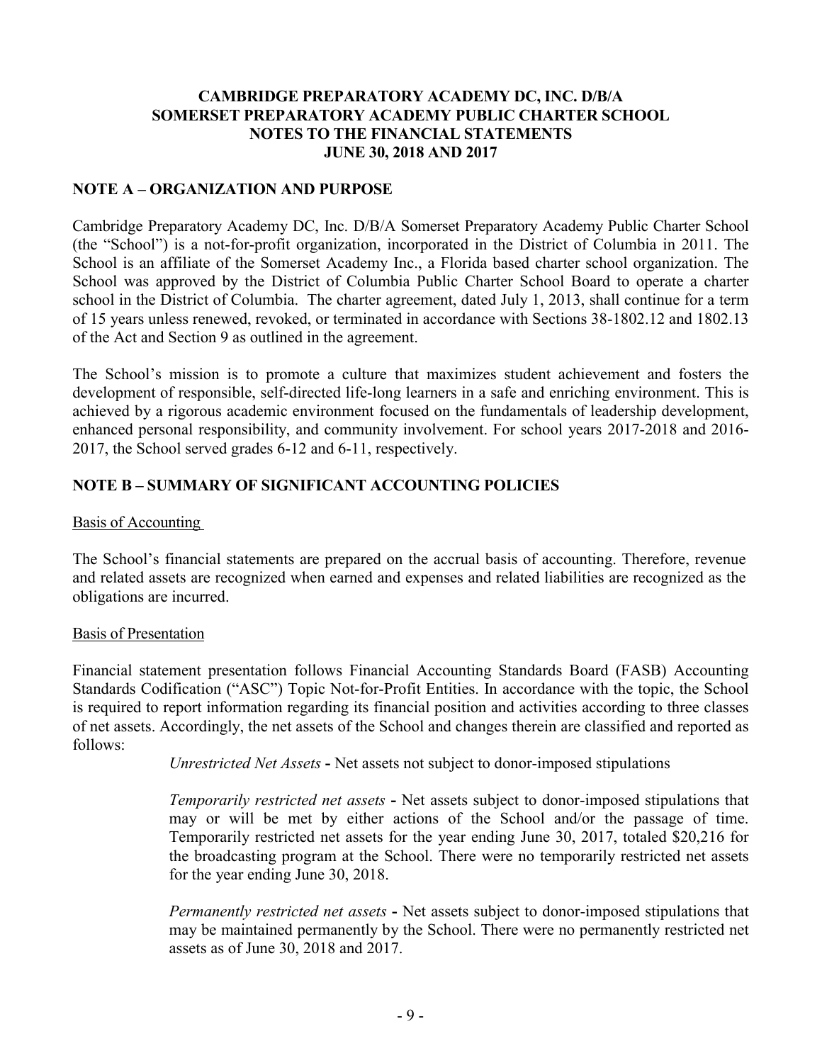# **NOTE A – ORGANIZATION AND PURPOSE**

Cambridge Preparatory Academy DC, Inc. D/B/A Somerset Preparatory Academy Public Charter School (the "School") is a not-for-profit organization, incorporated in the District of Columbia in 2011. The School is an affiliate of the Somerset Academy Inc., a Florida based charter school organization. The School was approved by the District of Columbia Public Charter School Board to operate a charter school in the District of Columbia. The charter agreement, dated July 1, 2013, shall continue for a term of 15 years unless renewed, revoked, or terminated in accordance with Sections 38-1802.12 and 1802.13 of the Act and Section 9 as outlined in the agreement.

The School's mission is to promote a culture that maximizes student achievement and fosters the development of responsible, self-directed life-long learners in a safe and enriching environment. This is achieved by a rigorous academic environment focused on the fundamentals of leadership development, enhanced personal responsibility, and community involvement. For school years 2017-2018 and 2016- 2017, the School served grades 6-12 and 6-11, respectively.

# **NOTE B – SUMMARY OF SIGNIFICANT ACCOUNTING POLICIES**

### Basis of Accounting

The School's financial statements are prepared on the accrual basis of accounting. Therefore, revenue and related assets are recognized when earned and expenses and related liabilities are recognized as the obligations are incurred.

### Basis of Presentation

Financial statement presentation follows Financial Accounting Standards Board (FASB) Accounting Standards Codification ("ASC") Topic Not-for-Profit Entities. In accordance with the topic, the School is required to report information regarding its financial position and activities according to three classes of net assets. Accordingly, the net assets of the School and changes therein are classified and reported as follows:

*Unrestricted Net Assets* **-** Net assets not subject to donor-imposed stipulations

*Temporarily restricted net assets* **-** Net assets subject to donor-imposed stipulations that may or will be met by either actions of the School and/or the passage of time. Temporarily restricted net assets for the year ending June 30, 2017, totaled \$20,216 for the broadcasting program at the School. There were no temporarily restricted net assets for the year ending June 30, 2018.

*Permanently restricted net assets* **-** Net assets subject to donor-imposed stipulations that may be maintained permanently by the School. There were no permanently restricted net assets as of June 30, 2018 and 2017.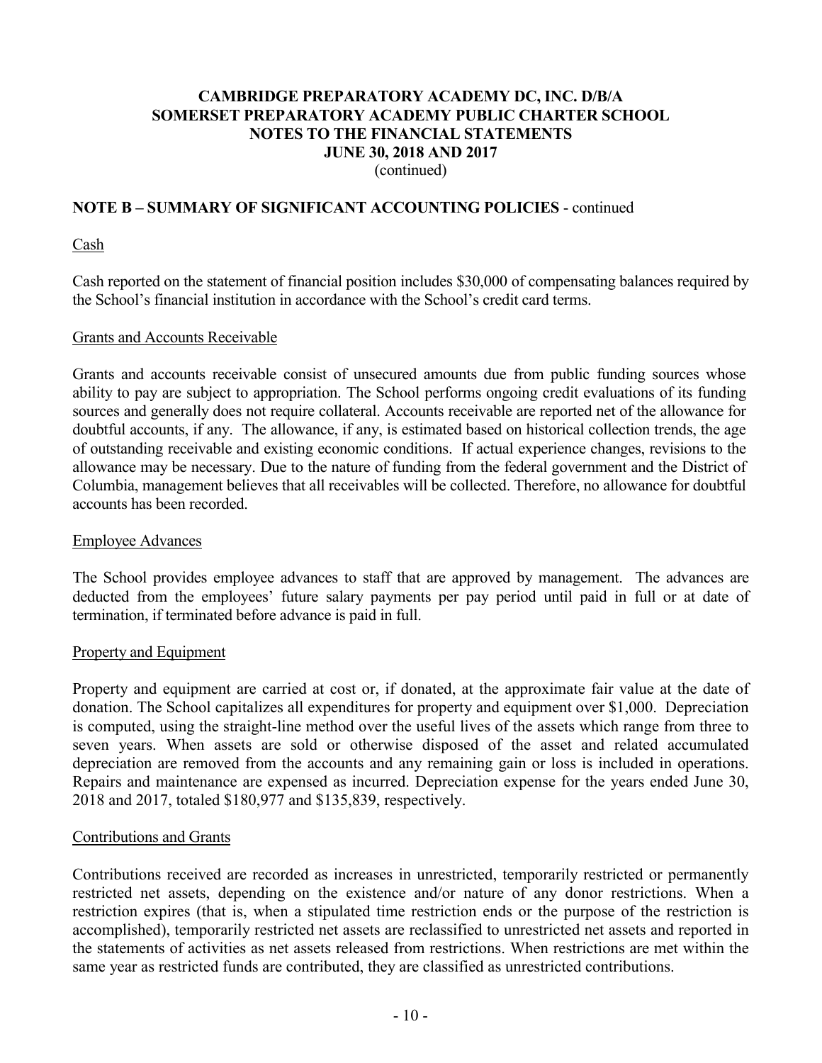# **NOTE B – SUMMARY OF SIGNIFICANT ACCOUNTING POLICIES** - continued

### Cash

Cash reported on the statement of financial position includes \$30,000 of compensating balances required by the School's financial institution in accordance with the School's credit card terms.

#### Grants and Accounts Receivable

Grants and accounts receivable consist of unsecured amounts due from public funding sources whose ability to pay are subject to appropriation. The School performs ongoing credit evaluations of its funding sources and generally does not require collateral. Accounts receivable are reported net of the allowance for doubtful accounts, if any. The allowance, if any, is estimated based on historical collection trends, the age of outstanding receivable and existing economic conditions. If actual experience changes, revisions to the allowance may be necessary. Due to the nature of funding from the federal government and the District of Columbia, management believes that all receivables will be collected. Therefore, no allowance for doubtful accounts has been recorded.

### Employee Advances

The School provides employee advances to staff that are approved by management. The advances are deducted from the employees' future salary payments per pay period until paid in full or at date of termination, if terminated before advance is paid in full.

#### Property and Equipment

Property and equipment are carried at cost or, if donated, at the approximate fair value at the date of donation. The School capitalizes all expenditures for property and equipment over \$1,000. Depreciation is computed, using the straight-line method over the useful lives of the assets which range from three to seven years. When assets are sold or otherwise disposed of the asset and related accumulated depreciation are removed from the accounts and any remaining gain or loss is included in operations. Repairs and maintenance are expensed as incurred. Depreciation expense for the years ended June 30, 2018 and 2017, totaled \$180,977 and \$135,839, respectively.

### Contributions and Grants

Contributions received are recorded as increases in unrestricted, temporarily restricted or permanently restricted net assets, depending on the existence and/or nature of any donor restrictions. When a restriction expires (that is, when a stipulated time restriction ends or the purpose of the restriction is accomplished), temporarily restricted net assets are reclassified to unrestricted net assets and reported in the statements of activities as net assets released from restrictions. When restrictions are met within the same year as restricted funds are contributed, they are classified as unrestricted contributions.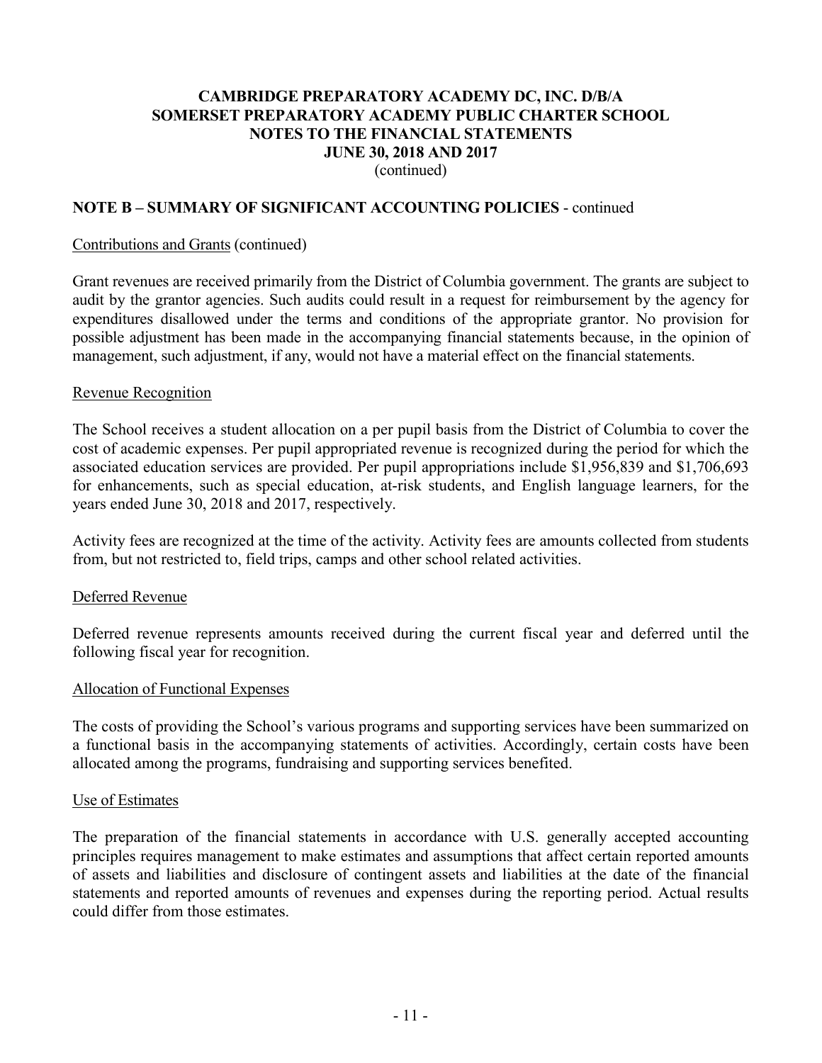### **NOTE B – SUMMARY OF SIGNIFICANT ACCOUNTING POLICIES** - continued

#### Contributions and Grants (continued)

Grant revenues are received primarily from the District of Columbia government. The grants are subject to audit by the grantor agencies. Such audits could result in a request for reimbursement by the agency for expenditures disallowed under the terms and conditions of the appropriate grantor. No provision for possible adjustment has been made in the accompanying financial statements because, in the opinion of management, such adjustment, if any, would not have a material effect on the financial statements.

#### Revenue Recognition

The School receives a student allocation on a per pupil basis from the District of Columbia to cover the cost of academic expenses. Per pupil appropriated revenue is recognized during the period for which the associated education services are provided. Per pupil appropriations include \$1,956,839 and \$1,706,693 for enhancements, such as special education, at-risk students, and English language learners, for the years ended June 30, 2018 and 2017, respectively.

Activity fees are recognized at the time of the activity. Activity fees are amounts collected from students from, but not restricted to, field trips, camps and other school related activities.

#### Deferred Revenue

Deferred revenue represents amounts received during the current fiscal year and deferred until the following fiscal year for recognition.

#### Allocation of Functional Expenses

The costs of providing the School's various programs and supporting services have been summarized on a functional basis in the accompanying statements of activities. Accordingly, certain costs have been allocated among the programs, fundraising and supporting services benefited.

#### Use of Estimates

The preparation of the financial statements in accordance with U.S. generally accepted accounting principles requires management to make estimates and assumptions that affect certain reported amounts of assets and liabilities and disclosure of contingent assets and liabilities at the date of the financial statements and reported amounts of revenues and expenses during the reporting period. Actual results could differ from those estimates.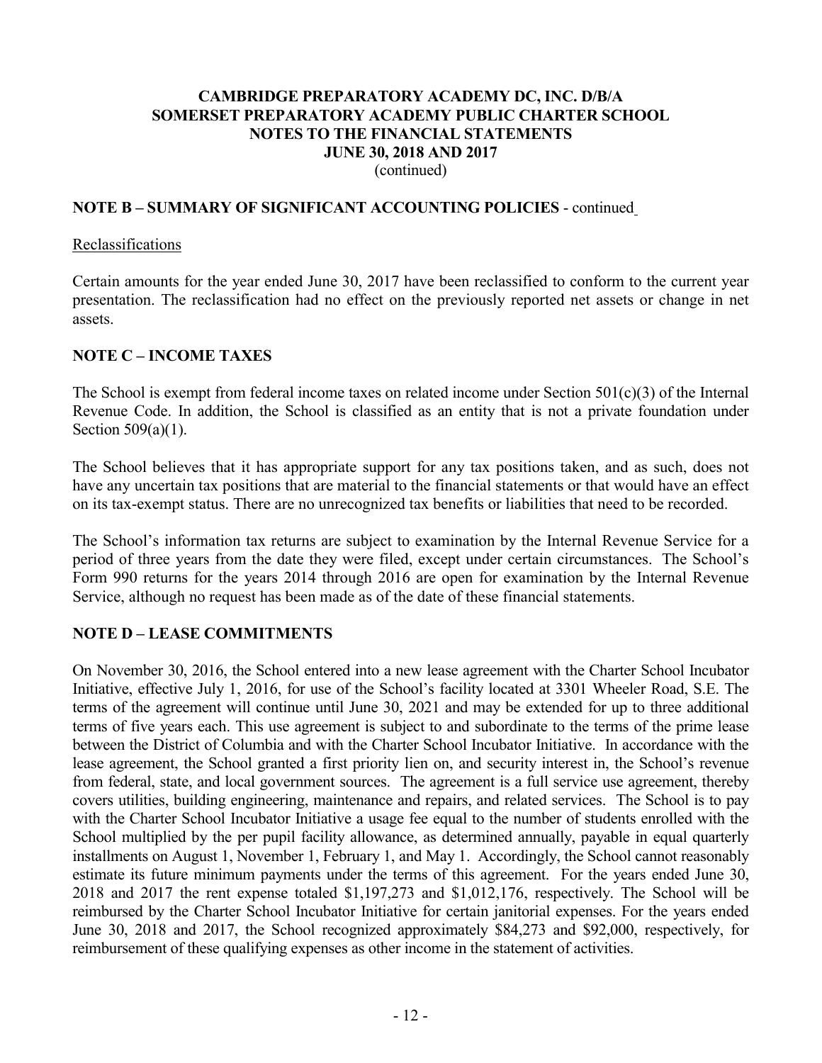### **NOTE B – SUMMARY OF SIGNIFICANT ACCOUNTING POLICIES** - continued

#### Reclassifications

Certain amounts for the year ended June 30, 2017 have been reclassified to conform to the current year presentation. The reclassification had no effect on the previously reported net assets or change in net assets.

#### **NOTE C – INCOME TAXES**

The School is exempt from federal income taxes on related income under Section  $501(c)(3)$  of the Internal Revenue Code. In addition, the School is classified as an entity that is not a private foundation under Section 509(a)(1).

The School believes that it has appropriate support for any tax positions taken, and as such, does not have any uncertain tax positions that are material to the financial statements or that would have an effect on its tax-exempt status. There are no unrecognized tax benefits or liabilities that need to be recorded.

The School's information tax returns are subject to examination by the Internal Revenue Service for a period of three years from the date they were filed, except under certain circumstances. The School's Form 990 returns for the years 2014 through 2016 are open for examination by the Internal Revenue Service, although no request has been made as of the date of these financial statements.

### **NOTE D – LEASE COMMITMENTS**

On November 30, 2016, the School entered into a new lease agreement with the Charter School Incubator Initiative, effective July 1, 2016, for use of the School's facility located at 3301 Wheeler Road, S.E. The terms of the agreement will continue until June 30, 2021 and may be extended for up to three additional terms of five years each. This use agreement is subject to and subordinate to the terms of the prime lease between the District of Columbia and with the Charter School Incubator Initiative. In accordance with the lease agreement, the School granted a first priority lien on, and security interest in, the School's revenue from federal, state, and local government sources. The agreement is a full service use agreement, thereby covers utilities, building engineering, maintenance and repairs, and related services. The School is to pay with the Charter School Incubator Initiative a usage fee equal to the number of students enrolled with the School multiplied by the per pupil facility allowance, as determined annually, payable in equal quarterly installments on August 1, November 1, February 1, and May 1. Accordingly, the School cannot reasonably estimate its future minimum payments under the terms of this agreement. For the years ended June 30, 2018 and 2017 the rent expense totaled \$1,197,273 and \$1,012,176, respectively. The School will be reimbursed by the Charter School Incubator Initiative for certain janitorial expenses. For the years ended June 30, 2018 and 2017, the School recognized approximately \$84,273 and \$92,000, respectively, for reimbursement of these qualifying expenses as other income in the statement of activities.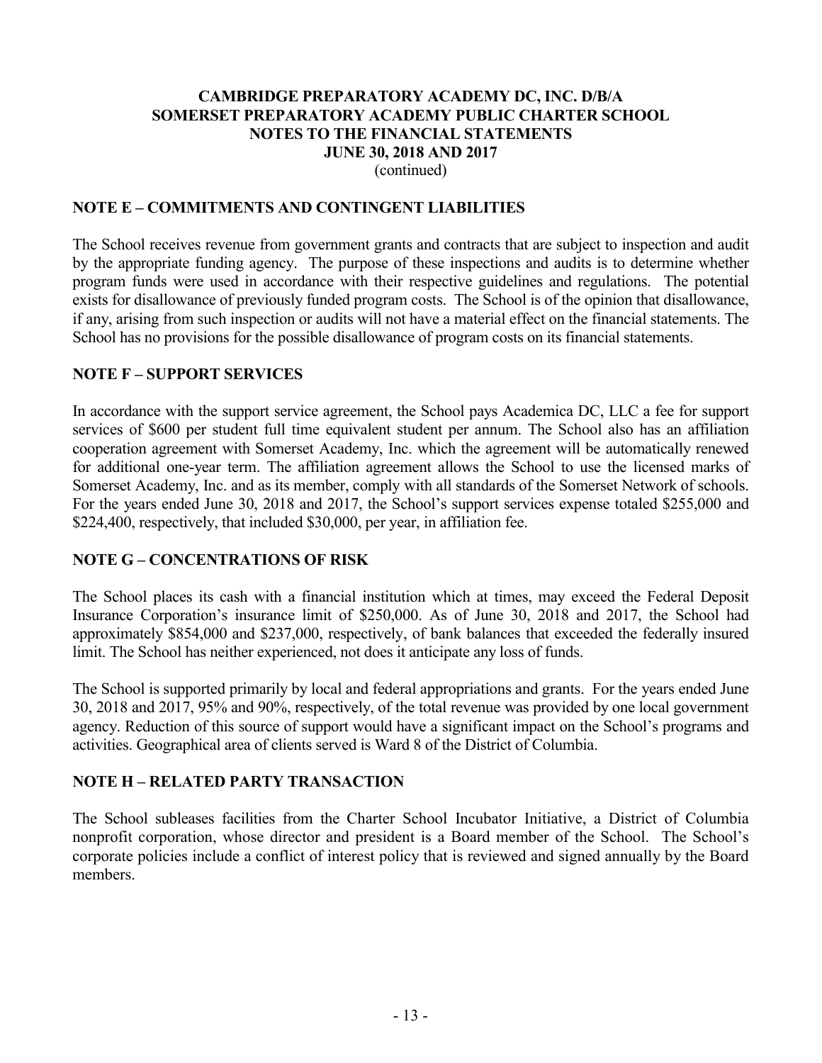### **NOTE E – COMMITMENTS AND CONTINGENT LIABILITIES**

The School receives revenue from government grants and contracts that are subject to inspection and audit by the appropriate funding agency. The purpose of these inspections and audits is to determine whether program funds were used in accordance with their respective guidelines and regulations. The potential exists for disallowance of previously funded program costs. The School is of the opinion that disallowance, if any, arising from such inspection or audits will not have a material effect on the financial statements. The School has no provisions for the possible disallowance of program costs on its financial statements.

#### **NOTE F – SUPPORT SERVICES**

In accordance with the support service agreement, the School pays Academica DC, LLC a fee for support services of \$600 per student full time equivalent student per annum. The School also has an affiliation cooperation agreement with Somerset Academy, Inc. which the agreement will be automatically renewed for additional one-year term. The affiliation agreement allows the School to use the licensed marks of Somerset Academy, Inc. and as its member, comply with all standards of the Somerset Network of schools. For the years ended June 30, 2018 and 2017, the School's support services expense totaled \$255,000 and \$224,400, respectively, that included \$30,000, per year, in affiliation fee.

### **NOTE G – CONCENTRATIONS OF RISK**

The School places its cash with a financial institution which at times, may exceed the Federal Deposit Insurance Corporation's insurance limit of \$250,000. As of June 30, 2018 and 2017, the School had approximately \$854,000 and \$237,000, respectively, of bank balances that exceeded the federally insured limit. The School has neither experienced, not does it anticipate any loss of funds.

The School is supported primarily by local and federal appropriations and grants. For the years ended June 30, 2018 and 2017, 95% and 90%, respectively, of the total revenue was provided by one local government agency. Reduction of this source of support would have a significant impact on the School's programs and activities. Geographical area of clients served is Ward 8 of the District of Columbia.

### **NOTE H – RELATED PARTY TRANSACTION**

The School subleases facilities from the Charter School Incubator Initiative, a District of Columbia nonprofit corporation, whose director and president is a Board member of the School. The School's corporate policies include a conflict of interest policy that is reviewed and signed annually by the Board members.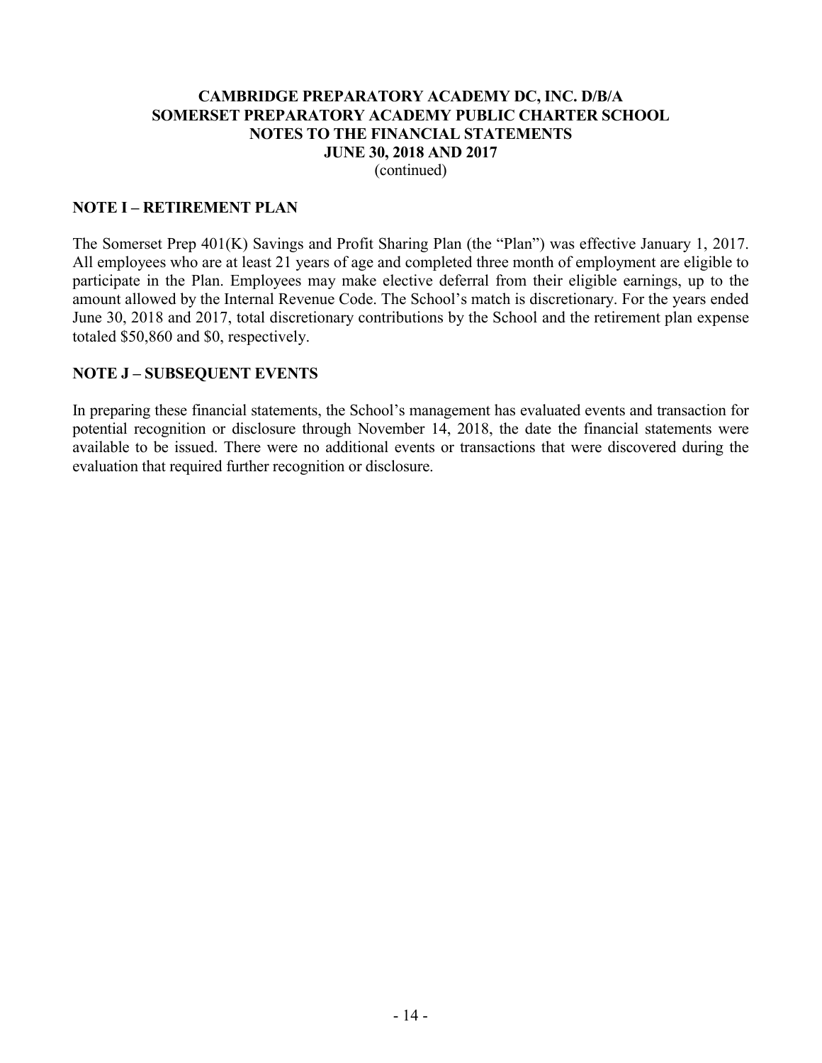#### **NOTE I – RETIREMENT PLAN**

The Somerset Prep 401(K) Savings and Profit Sharing Plan (the "Plan") was effective January 1, 2017. All employees who are at least 21 years of age and completed three month of employment are eligible to participate in the Plan. Employees may make elective deferral from their eligible earnings, up to the amount allowed by the Internal Revenue Code. The School's match is discretionary. For the years ended June 30, 2018 and 2017, total discretionary contributions by the School and the retirement plan expense totaled \$50,860 and \$0, respectively.

#### **NOTE J – SUBSEQUENT EVENTS**

In preparing these financial statements, the School's management has evaluated events and transaction for potential recognition or disclosure through November 14, 2018, the date the financial statements were available to be issued. There were no additional events or transactions that were discovered during the evaluation that required further recognition or disclosure.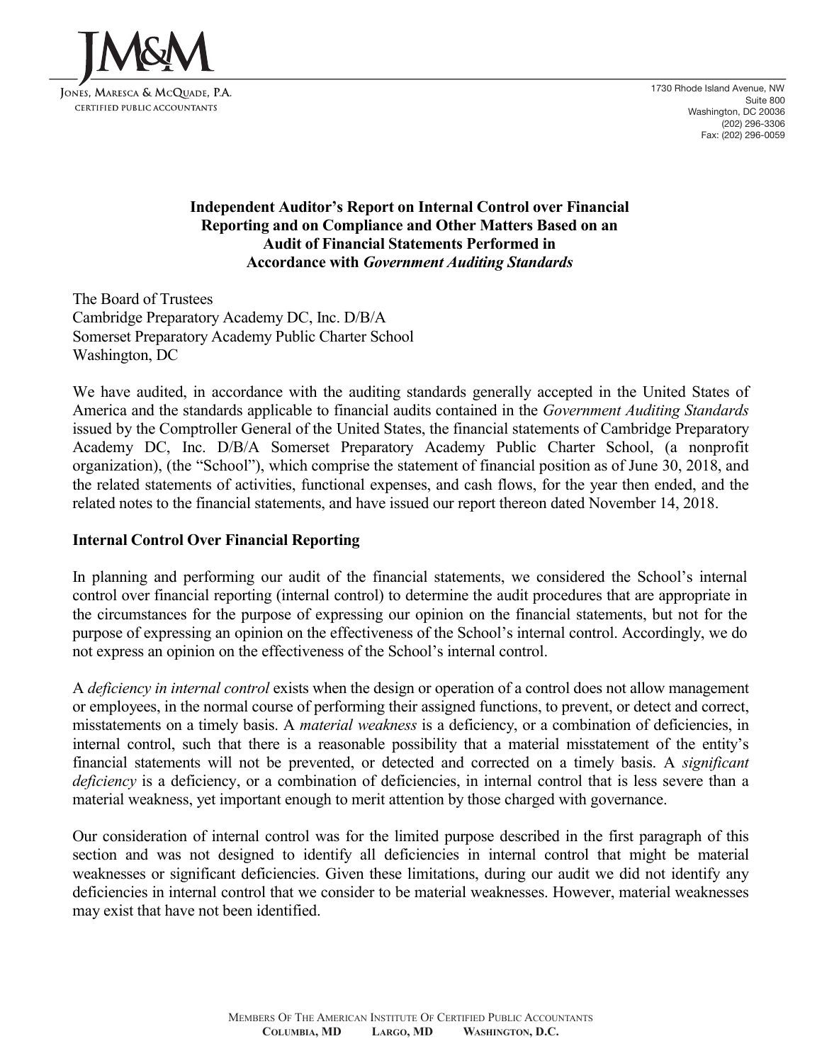

1730 Rhode Island Avenue, NW Suite 800 Washington, DC 20036 (202) 296-3306 Fax: (202) 296-0059

# **Independent Auditor's Report on Internal Control over Financial Reporting and on Compliance and Other Matters Based on an Audit of Financial Statements Performed in Accordance with** *Government Auditing Standards*

The Board of Trustees Cambridge Preparatory Academy DC, Inc. D/B/A Somerset Preparatory Academy Public Charter School Washington, DC

We have audited, in accordance with the auditing standards generally accepted in the United States of America and the standards applicable to financial audits contained in the *Government Auditing Standards* issued by the Comptroller General of the United States, the financial statements of Cambridge Preparatory Academy DC, Inc. D/B/A Somerset Preparatory Academy Public Charter School, (a nonprofit organization), (the "School"), which comprise the statement of financial position as of June 30, 2018, and the related statements of activities, functional expenses, and cash flows, for the year then ended, and the related notes to the financial statements, and have issued our report thereon dated November 14, 2018.

# **Internal Control Over Financial Reporting**

In planning and performing our audit of the financial statements, we considered the School's internal control over financial reporting (internal control) to determine the audit procedures that are appropriate in the circumstances for the purpose of expressing our opinion on the financial statements, but not for the purpose of expressing an opinion on the effectiveness of the School's internal control. Accordingly, we do not express an opinion on the effectiveness of the School's internal control.

A *deficiency in internal control* exists when the design or operation of a control does not allow management or employees, in the normal course of performing their assigned functions, to prevent, or detect and correct, misstatements on a timely basis. A *material weakness* is a deficiency, or a combination of deficiencies, in internal control, such that there is a reasonable possibility that a material misstatement of the entity's financial statements will not be prevented, or detected and corrected on a timely basis. A *significant deficiency* is a deficiency, or a combination of deficiencies, in internal control that is less severe than a material weakness, yet important enough to merit attention by those charged with governance.

Our consideration of internal control was for the limited purpose described in the first paragraph of this section and was not designed to identify all deficiencies in internal control that might be material weaknesses or significant deficiencies. Given these limitations, during our audit we did not identify any deficiencies in internal control that we consider to be material weaknesses. However, material weaknesses may exist that have not been identified.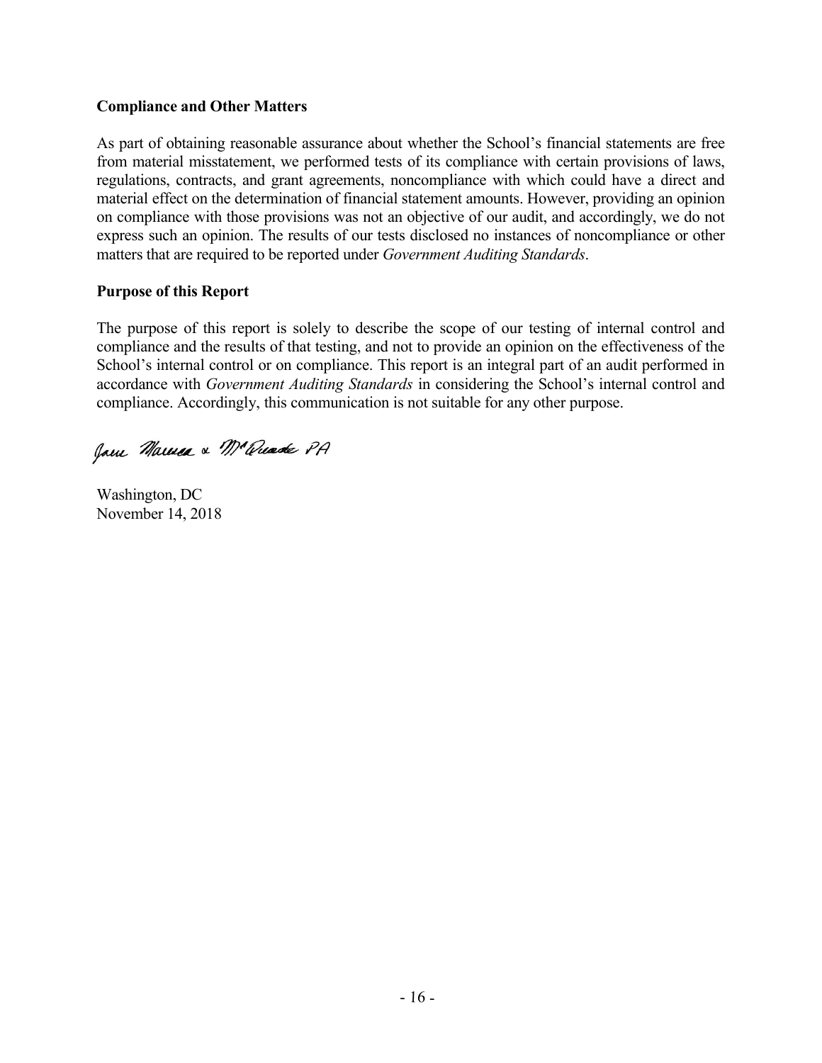# **Compliance and Other Matters**

As part of obtaining reasonable assurance about whether the School's financial statements are free from material misstatement, we performed tests of its compliance with certain provisions of laws, regulations, contracts, and grant agreements, noncompliance with which could have a direct and material effect on the determination of financial statement amounts. However, providing an opinion on compliance with those provisions was not an objective of our audit, and accordingly, we do not express such an opinion. The results of our tests disclosed no instances of noncompliance or other matters that are required to be reported under *Government Auditing Standards*.

# **Purpose of this Report**

The purpose of this report is solely to describe the scope of our testing of internal control and compliance and the results of that testing, and not to provide an opinion on the effectiveness of the School's internal control or on compliance. This report is an integral part of an audit performed in accordance with *Government Auditing Standards* in considering the School's internal control and compliance. Accordingly, this communication is not suitable for any other purpose.

Jam Marina & M'Quade PA

Washington, DC November 14, 2018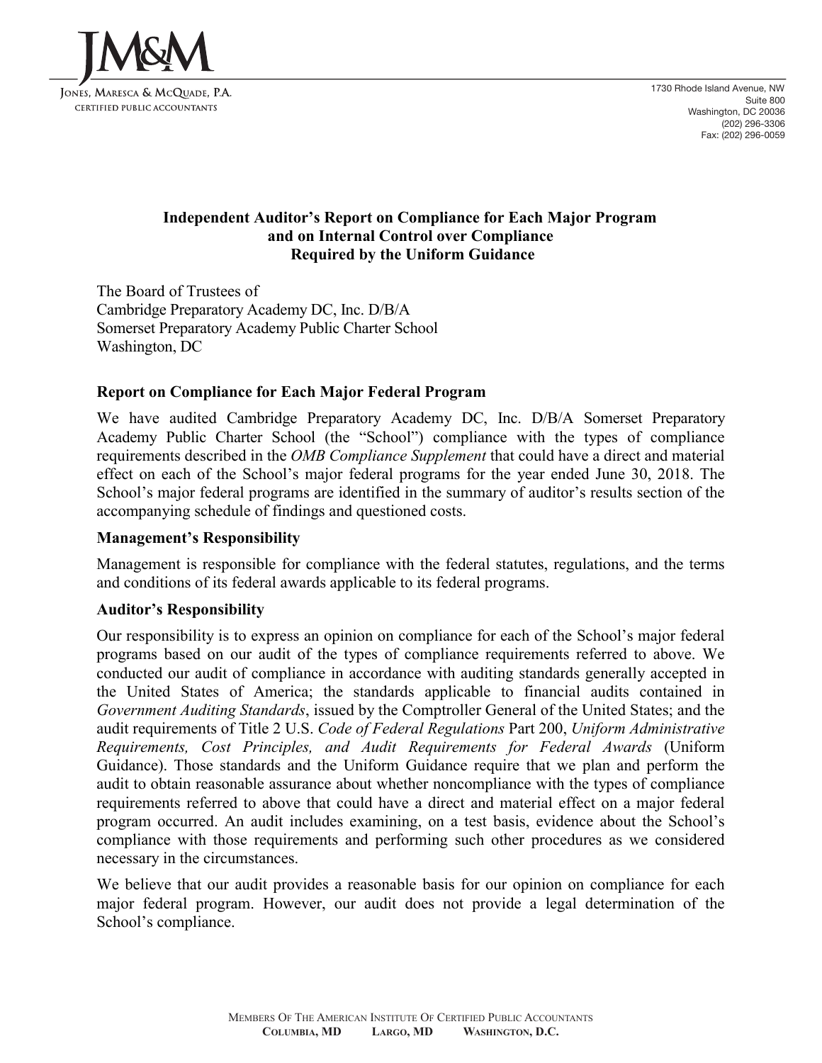

# **Independent Auditor's Report on Compliance for Each Major Program and on Internal Control over Compliance Required by the Uniform Guidance**

The Board of Trustees of Cambridge Preparatory Academy DC, Inc. D/B/A Somerset Preparatory Academy Public Charter School Washington, DC

# **Report on Compliance for Each Major Federal Program**

We have audited Cambridge Preparatory Academy DC, Inc. D/B/A Somerset Preparatory Academy Public Charter School (the "School") compliance with the types of compliance requirements described in the *OMB Compliance Supplement* that could have a direct and material effect on each of the School's major federal programs for the year ended June 30, 2018. The School's major federal programs are identified in the summary of auditor's results section of the accompanying schedule of findings and questioned costs.

### **Management's Responsibility**

Management is responsible for compliance with the federal statutes, regulations, and the terms and conditions of its federal awards applicable to its federal programs.

### **Auditor's Responsibility**

Our responsibility is to express an opinion on compliance for each of the School's major federal programs based on our audit of the types of compliance requirements referred to above. We conducted our audit of compliance in accordance with auditing standards generally accepted in the United States of America; the standards applicable to financial audits contained in *Government Auditing Standards*, issued by the Comptroller General of the United States; and the audit requirements of Title 2 U.S. *Code of Federal Regulations* Part 200, *Uniform Administrative Requirements, Cost Principles, and Audit Requirements for Federal Awards* (Uniform Guidance). Those standards and the Uniform Guidance require that we plan and perform the audit to obtain reasonable assurance about whether noncompliance with the types of compliance requirements referred to above that could have a direct and material effect on a major federal program occurred. An audit includes examining, on a test basis, evidence about the School's compliance with those requirements and performing such other procedures as we considered necessary in the circumstances.

We believe that our audit provides a reasonable basis for our opinion on compliance for each major federal program. However, our audit does not provide a legal determination of the School's compliance.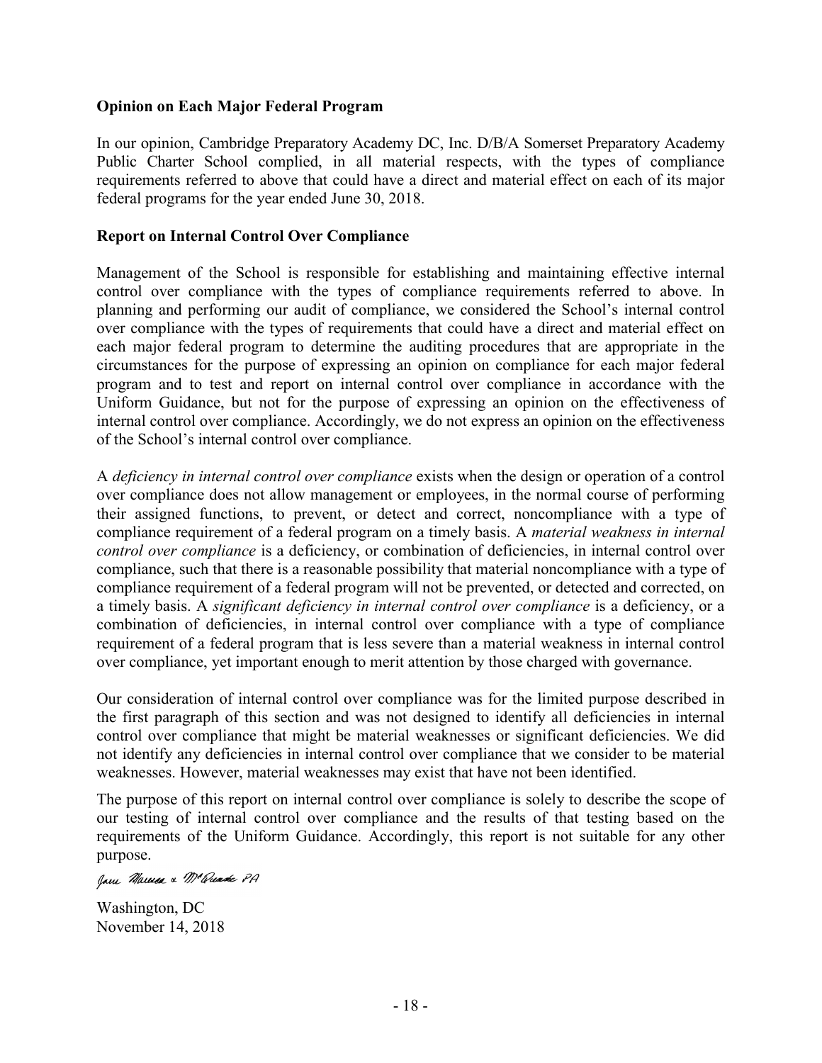# **Opinion on Each Major Federal Program**

In our opinion, Cambridge Preparatory Academy DC, Inc. D/B/A Somerset Preparatory Academy Public Charter School complied, in all material respects, with the types of compliance requirements referred to above that could have a direct and material effect on each of its major federal programs for the year ended June 30, 2018.

### **Report on Internal Control Over Compliance**

Management of the School is responsible for establishing and maintaining effective internal control over compliance with the types of compliance requirements referred to above. In planning and performing our audit of compliance, we considered the School's internal control over compliance with the types of requirements that could have a direct and material effect on each major federal program to determine the auditing procedures that are appropriate in the circumstances for the purpose of expressing an opinion on compliance for each major federal program and to test and report on internal control over compliance in accordance with the Uniform Guidance, but not for the purpose of expressing an opinion on the effectiveness of internal control over compliance. Accordingly, we do not express an opinion on the effectiveness of the School's internal control over compliance.

A *deficiency in internal control over compliance* exists when the design or operation of a control over compliance does not allow management or employees, in the normal course of performing their assigned functions, to prevent, or detect and correct, noncompliance with a type of compliance requirement of a federal program on a timely basis. A *material weakness in internal control over compliance* is a deficiency, or combination of deficiencies, in internal control over compliance, such that there is a reasonable possibility that material noncompliance with a type of compliance requirement of a federal program will not be prevented, or detected and corrected, on a timely basis. A *significant deficiency in internal control over compliance* is a deficiency, or a combination of deficiencies, in internal control over compliance with a type of compliance requirement of a federal program that is less severe than a material weakness in internal control over compliance, yet important enough to merit attention by those charged with governance.

Our consideration of internal control over compliance was for the limited purpose described in the first paragraph of this section and was not designed to identify all deficiencies in internal control over compliance that might be material weaknesses or significant deficiencies. We did not identify any deficiencies in internal control over compliance that we consider to be material weaknesses. However, material weaknesses may exist that have not been identified.

The purpose of this report on internal control over compliance is solely to describe the scope of our testing of internal control over compliance and the results of that testing based on the requirements of the Uniform Guidance. Accordingly, this report is not suitable for any other purpose.

Jam Marca & M'Quade PA

Washington, DC November 14, 2018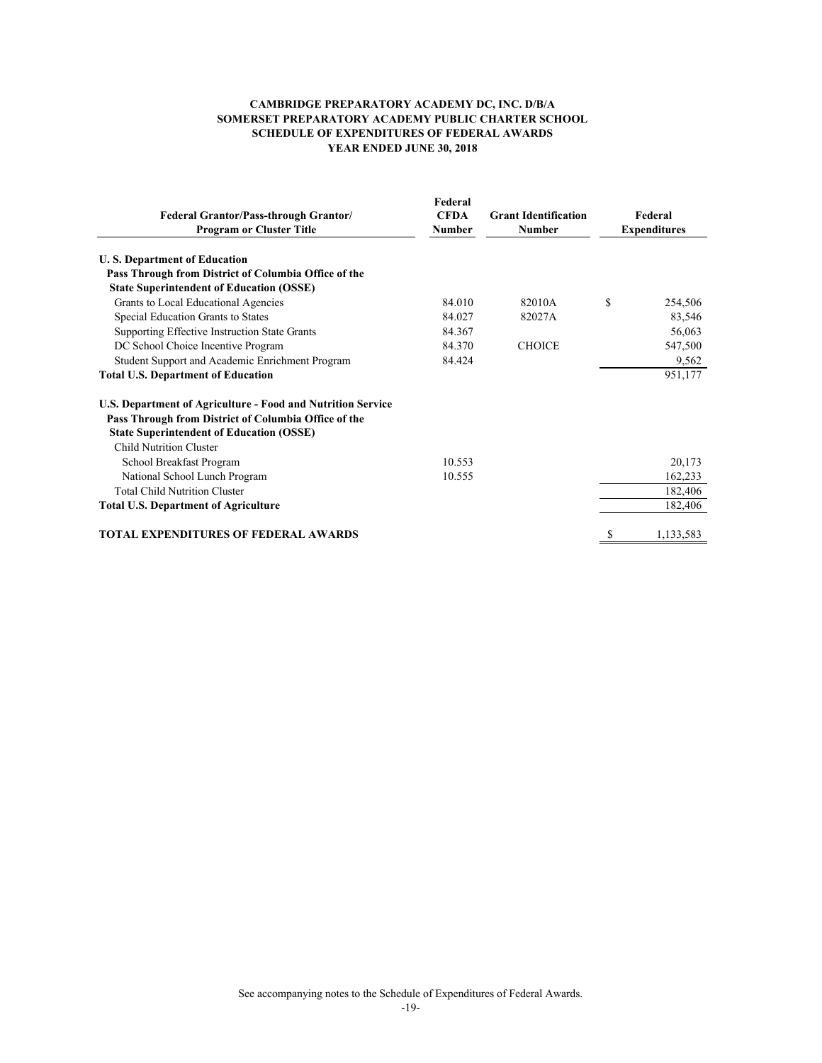#### **CAMBRIDGE PREPARATORY ACADEMY DC, INC. D/B/A SCHEDULE OF EXPENDITURES OF FEDERAL AWARDS YEAR ENDED JUNE 30, 2018 SOMERSET PREPARATORY ACADEMY PUBLIC CHARTER SCHOOL**

| <b>Federal Grantor/Pass-through Grantor/</b><br><b>Program or Cluster Title</b>                                                                                        | Federal<br><b>CFDA</b><br><b>Number</b> | <b>Grant Identification</b><br><b>Number</b> | Federal<br><b>Expenditures</b> |
|------------------------------------------------------------------------------------------------------------------------------------------------------------------------|-----------------------------------------|----------------------------------------------|--------------------------------|
| <b>U.S. Department of Education</b>                                                                                                                                    |                                         |                                              |                                |
| Pass Through from District of Columbia Office of the                                                                                                                   |                                         |                                              |                                |
| <b>State Superintendent of Education (OSSE)</b>                                                                                                                        |                                         |                                              |                                |
| Grants to Local Educational Agencies                                                                                                                                   | 84.010                                  | 82010A                                       | \$<br>254,506                  |
| Special Education Grants to States                                                                                                                                     | 84.027                                  | 82027A                                       | 83,546                         |
| Supporting Effective Instruction State Grants                                                                                                                          | 84.367                                  |                                              | 56,063                         |
| DC School Choice Incentive Program                                                                                                                                     | 84.370                                  | <b>CHOICE</b>                                | 547,500                        |
| Student Support and Academic Enrichment Program                                                                                                                        | 84.424                                  |                                              | 9,562                          |
| <b>Total U.S. Department of Education</b>                                                                                                                              |                                         |                                              | 951,177                        |
| U.S. Department of Agriculture - Food and Nutrition Service<br>Pass Through from District of Columbia Office of the<br><b>State Superintendent of Education (OSSE)</b> |                                         |                                              |                                |
| <b>Child Nutrition Cluster</b>                                                                                                                                         |                                         |                                              |                                |
| School Breakfast Program                                                                                                                                               | 10.553                                  |                                              | 20,173                         |
| National School Lunch Program                                                                                                                                          | 10.555                                  |                                              | 162,233                        |
| <b>Total Child Nutrition Cluster</b>                                                                                                                                   |                                         |                                              | 182,406                        |
| <b>Total U.S. Department of Agriculture</b>                                                                                                                            |                                         |                                              | 182,406                        |
| <b>TOTAL EXPENDITURES OF FEDERAL AWARDS</b>                                                                                                                            |                                         |                                              | \$<br>1,133,583                |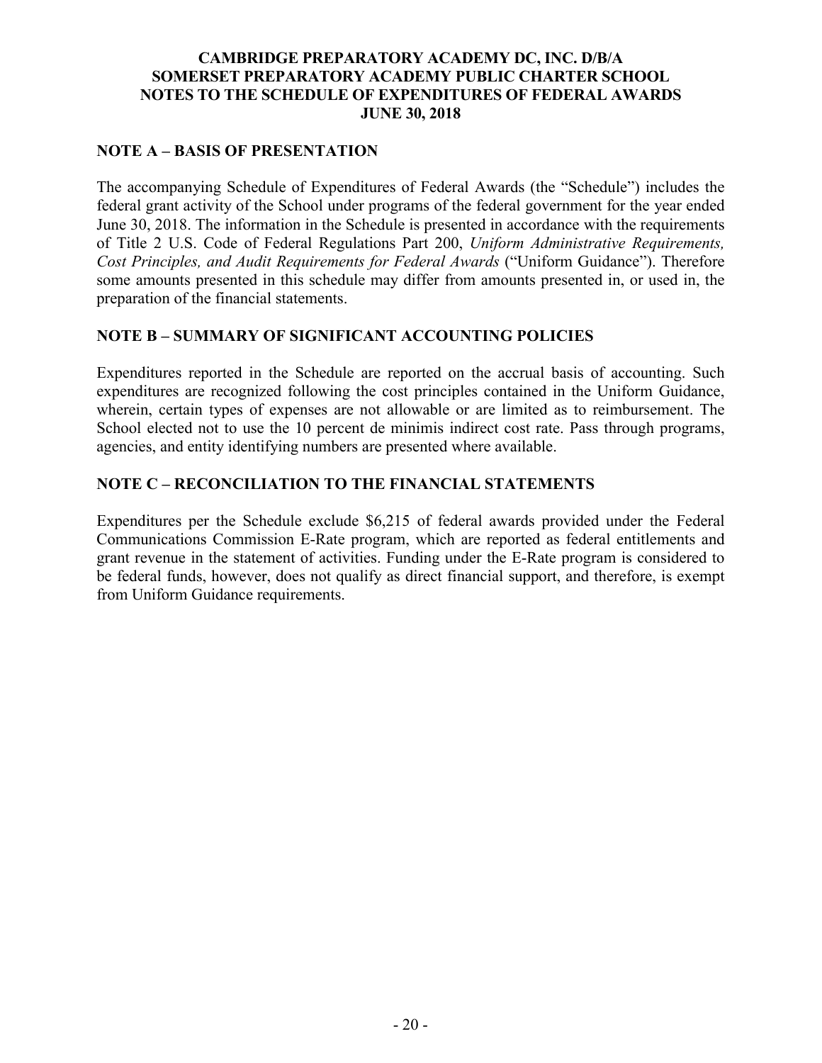# **CAMBRIDGE PREPARATORY ACADEMY DC, INC. D/B/A SOMERSET PREPARATORY ACADEMY PUBLIC CHARTER SCHOOL NOTES TO THE SCHEDULE OF EXPENDITURES OF FEDERAL AWARDS JUNE 30, 2018**

# **NOTE A – BASIS OF PRESENTATION**

The accompanying Schedule of Expenditures of Federal Awards (the "Schedule") includes the federal grant activity of the School under programs of the federal government for the year ended June 30, 2018. The information in the Schedule is presented in accordance with the requirements of Title 2 U.S. Code of Federal Regulations Part 200, *Uniform Administrative Requirements, Cost Principles, and Audit Requirements for Federal Awards* ("Uniform Guidance"). Therefore some amounts presented in this schedule may differ from amounts presented in, or used in, the preparation of the financial statements.

# **NOTE B – SUMMARY OF SIGNIFICANT ACCOUNTING POLICIES**

Expenditures reported in the Schedule are reported on the accrual basis of accounting. Such expenditures are recognized following the cost principles contained in the Uniform Guidance, wherein, certain types of expenses are not allowable or are limited as to reimbursement. The School elected not to use the 10 percent de minimis indirect cost rate. Pass through programs, agencies, and entity identifying numbers are presented where available.

# **NOTE C – RECONCILIATION TO THE FINANCIAL STATEMENTS**

Expenditures per the Schedule exclude \$6,215 of federal awards provided under the Federal Communications Commission E-Rate program, which are reported as federal entitlements and grant revenue in the statement of activities. Funding under the E-Rate program is considered to be federal funds, however, does not qualify as direct financial support, and therefore, is exempt from Uniform Guidance requirements.